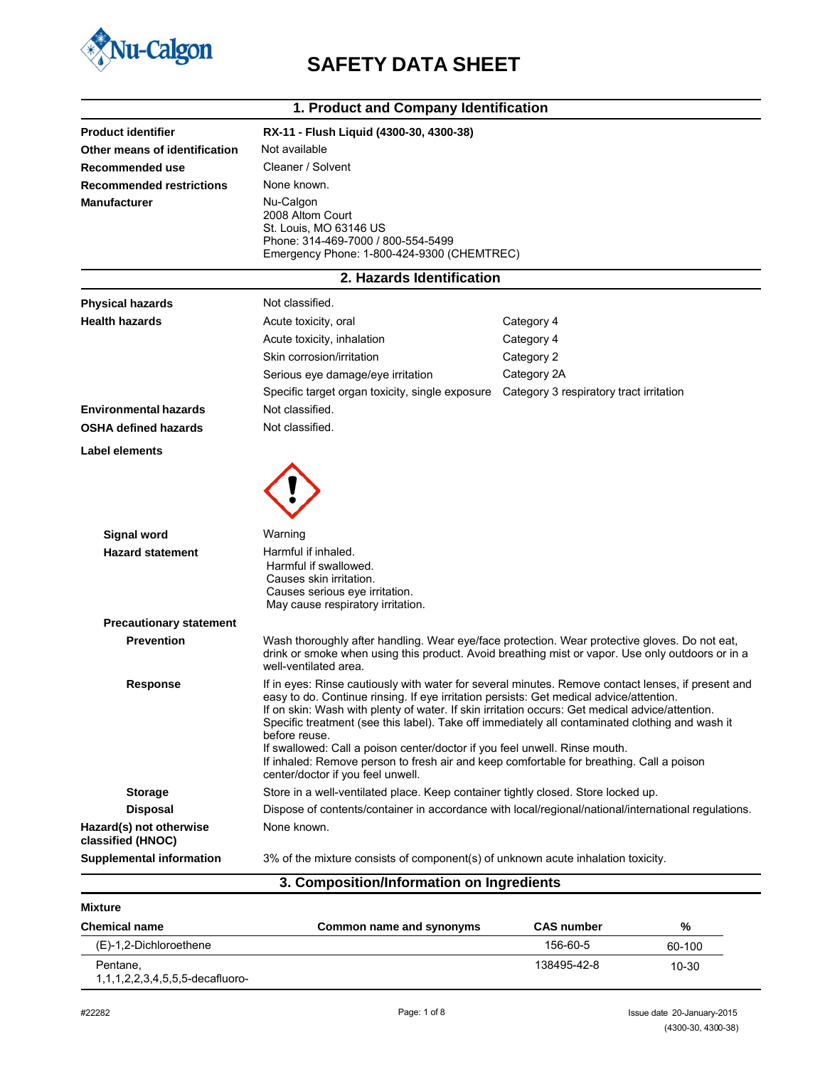

## **SAFETY DATA SHEET**

| 1. Product and Company Identification        |                                                                                                                                                                                                                                                                                                                                                                                                                                                                                                                                                                                                                                     |                                                                                                                                                                                                   |  |  |
|----------------------------------------------|-------------------------------------------------------------------------------------------------------------------------------------------------------------------------------------------------------------------------------------------------------------------------------------------------------------------------------------------------------------------------------------------------------------------------------------------------------------------------------------------------------------------------------------------------------------------------------------------------------------------------------------|---------------------------------------------------------------------------------------------------------------------------------------------------------------------------------------------------|--|--|
| <b>Product identifier</b>                    | RX-11 - Flush Liquid (4300-30, 4300-38)                                                                                                                                                                                                                                                                                                                                                                                                                                                                                                                                                                                             |                                                                                                                                                                                                   |  |  |
| Other means of identification                | Not available                                                                                                                                                                                                                                                                                                                                                                                                                                                                                                                                                                                                                       |                                                                                                                                                                                                   |  |  |
| Recommended use                              | Cleaner / Solvent                                                                                                                                                                                                                                                                                                                                                                                                                                                                                                                                                                                                                   |                                                                                                                                                                                                   |  |  |
| <b>Recommended restrictions</b>              | None known.                                                                                                                                                                                                                                                                                                                                                                                                                                                                                                                                                                                                                         |                                                                                                                                                                                                   |  |  |
| <b>Manufacturer</b>                          | Nu-Calgon<br>2008 Altom Court<br>St. Louis, MO 63146 US<br>Phone: 314-469-7000 / 800-554-5499<br>Emergency Phone: 1-800-424-9300 (CHEMTREC)                                                                                                                                                                                                                                                                                                                                                                                                                                                                                         |                                                                                                                                                                                                   |  |  |
|                                              | 2. Hazards Identification                                                                                                                                                                                                                                                                                                                                                                                                                                                                                                                                                                                                           |                                                                                                                                                                                                   |  |  |
| <b>Physical hazards</b>                      | Not classified.                                                                                                                                                                                                                                                                                                                                                                                                                                                                                                                                                                                                                     |                                                                                                                                                                                                   |  |  |
| <b>Health hazards</b>                        | Acute toxicity, oral                                                                                                                                                                                                                                                                                                                                                                                                                                                                                                                                                                                                                | Category 4                                                                                                                                                                                        |  |  |
|                                              | Acute toxicity, inhalation                                                                                                                                                                                                                                                                                                                                                                                                                                                                                                                                                                                                          | Category 4                                                                                                                                                                                        |  |  |
|                                              | Skin corrosion/irritation                                                                                                                                                                                                                                                                                                                                                                                                                                                                                                                                                                                                           | Category 2                                                                                                                                                                                        |  |  |
|                                              | Serious eye damage/eye irritation                                                                                                                                                                                                                                                                                                                                                                                                                                                                                                                                                                                                   | Category 2A                                                                                                                                                                                       |  |  |
|                                              | Specific target organ toxicity, single exposure                                                                                                                                                                                                                                                                                                                                                                                                                                                                                                                                                                                     | Category 3 respiratory tract irritation                                                                                                                                                           |  |  |
| <b>Environmental hazards</b>                 | Not classified.                                                                                                                                                                                                                                                                                                                                                                                                                                                                                                                                                                                                                     |                                                                                                                                                                                                   |  |  |
| <b>OSHA defined hazards</b>                  | Not classified.                                                                                                                                                                                                                                                                                                                                                                                                                                                                                                                                                                                                                     |                                                                                                                                                                                                   |  |  |
| Label elements                               |                                                                                                                                                                                                                                                                                                                                                                                                                                                                                                                                                                                                                                     |                                                                                                                                                                                                   |  |  |
|                                              |                                                                                                                                                                                                                                                                                                                                                                                                                                                                                                                                                                                                                                     |                                                                                                                                                                                                   |  |  |
| <b>Signal word</b>                           | Warning                                                                                                                                                                                                                                                                                                                                                                                                                                                                                                                                                                                                                             |                                                                                                                                                                                                   |  |  |
| <b>Hazard statement</b>                      | Harmful if inhaled.<br>Harmful if swallowed.<br>Causes skin irritation.<br>Causes serious eye irritation.<br>May cause respiratory irritation.                                                                                                                                                                                                                                                                                                                                                                                                                                                                                      |                                                                                                                                                                                                   |  |  |
| <b>Precautionary statement</b>               |                                                                                                                                                                                                                                                                                                                                                                                                                                                                                                                                                                                                                                     |                                                                                                                                                                                                   |  |  |
| <b>Prevention</b>                            | well-ventilated area.                                                                                                                                                                                                                                                                                                                                                                                                                                                                                                                                                                                                               | Wash thoroughly after handling. Wear eye/face protection. Wear protective gloves. Do not eat,<br>drink or smoke when using this product. Avoid breathing mist or vapor. Use only outdoors or in a |  |  |
| <b>Response</b>                              | If in eyes: Rinse cautiously with water for several minutes. Remove contact lenses, if present and<br>easy to do. Continue rinsing. If eye irritation persists: Get medical advice/attention.<br>If on skin: Wash with plenty of water. If skin irritation occurs: Get medical advice/attention.<br>Specific treatment (see this label). Take off immediately all contaminated clothing and wash it<br>before reuse.<br>If swallowed: Call a poison center/doctor if you feel unwell. Rinse mouth.<br>If inhaled: Remove person to fresh air and keep comfortable for breathing. Call a poison<br>center/doctor if you feel unwell. |                                                                                                                                                                                                   |  |  |
| <b>Storage</b>                               | Store in a well-ventilated place. Keep container tightly closed. Store locked up.                                                                                                                                                                                                                                                                                                                                                                                                                                                                                                                                                   |                                                                                                                                                                                                   |  |  |
| <b>Disposal</b>                              |                                                                                                                                                                                                                                                                                                                                                                                                                                                                                                                                                                                                                                     | Dispose of contents/container in accordance with local/regional/national/international regulations.                                                                                               |  |  |
| Hazard(s) not otherwise<br>classified (HNOC) | None known.                                                                                                                                                                                                                                                                                                                                                                                                                                                                                                                                                                                                                         |                                                                                                                                                                                                   |  |  |
| <b>Supplemental information</b>              | 3% of the mixture consists of component(s) of unknown acute inhalation toxicity.                                                                                                                                                                                                                                                                                                                                                                                                                                                                                                                                                    |                                                                                                                                                                                                   |  |  |
|                                              | 3. Composition/Information on Ingredients                                                                                                                                                                                                                                                                                                                                                                                                                                                                                                                                                                                           |                                                                                                                                                                                                   |  |  |

| Mixture |  |
|---------|--|
|         |  |

| <b>Chemical name</b>                                 | Common name and synonyms | <b>CAS number</b> | %      |
|------------------------------------------------------|--------------------------|-------------------|--------|
| (E)-1,2-Dichloroethene                               |                          | 156-60-5          | 60-100 |
| Pentane,<br>1, 1, 1, 2, 2, 3, 4, 5, 5, 5-decafluoro- |                          | 138495-42-8       | 10-30  |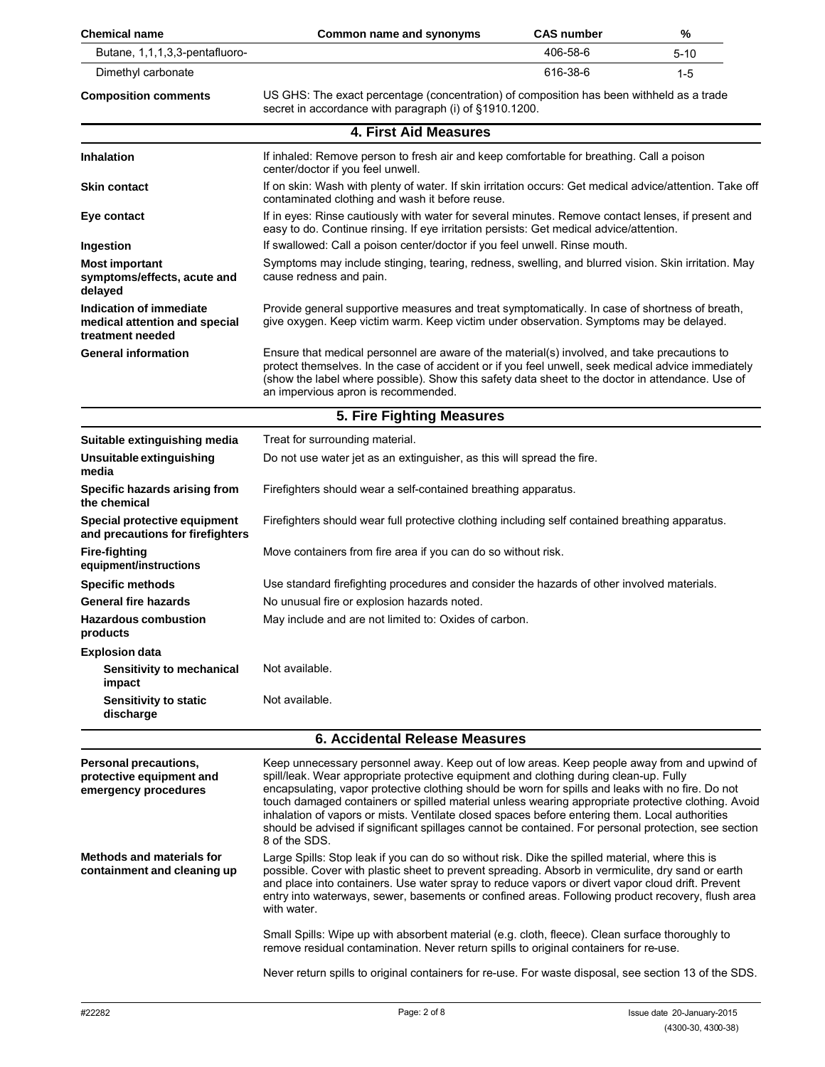| <b>Chemical name</b>                                                                | Common name and synonyms                                                                                                                                                                                                                                                                                                                                                                                                                                                                                                                                                                                                   | <b>CAS number</b> | %        |  |  |
|-------------------------------------------------------------------------------------|----------------------------------------------------------------------------------------------------------------------------------------------------------------------------------------------------------------------------------------------------------------------------------------------------------------------------------------------------------------------------------------------------------------------------------------------------------------------------------------------------------------------------------------------------------------------------------------------------------------------------|-------------------|----------|--|--|
| Butane, 1,1,1,3,3-pentafluoro-                                                      |                                                                                                                                                                                                                                                                                                                                                                                                                                                                                                                                                                                                                            | 406-58-6          | $5 - 10$ |  |  |
| Dimethyl carbonate                                                                  |                                                                                                                                                                                                                                                                                                                                                                                                                                                                                                                                                                                                                            | 616-38-6          | $1 - 5$  |  |  |
| <b>Composition comments</b>                                                         | US GHS: The exact percentage (concentration) of composition has been withheld as a trade<br>secret in accordance with paragraph (i) of §1910.1200.                                                                                                                                                                                                                                                                                                                                                                                                                                                                         |                   |          |  |  |
|                                                                                     | <b>4. First Aid Measures</b>                                                                                                                                                                                                                                                                                                                                                                                                                                                                                                                                                                                               |                   |          |  |  |
| <b>Inhalation</b>                                                                   | If inhaled: Remove person to fresh air and keep comfortable for breathing. Call a poison<br>center/doctor if you feel unwell.                                                                                                                                                                                                                                                                                                                                                                                                                                                                                              |                   |          |  |  |
| Skin contact                                                                        | If on skin: Wash with plenty of water. If skin irritation occurs: Get medical advice/attention. Take off<br>contaminated clothing and wash it before reuse.                                                                                                                                                                                                                                                                                                                                                                                                                                                                |                   |          |  |  |
| Eye contact                                                                         | If in eyes: Rinse cautiously with water for several minutes. Remove contact lenses, if present and<br>easy to do. Continue rinsing. If eye irritation persists: Get medical advice/attention.                                                                                                                                                                                                                                                                                                                                                                                                                              |                   |          |  |  |
| Ingestion                                                                           | If swallowed: Call a poison center/doctor if you feel unwell. Rinse mouth.                                                                                                                                                                                                                                                                                                                                                                                                                                                                                                                                                 |                   |          |  |  |
| <b>Most important</b><br>symptoms/effects, acute and<br>delayed                     | Symptoms may include stinging, tearing, redness, swelling, and blurred vision. Skin irritation. May<br>cause redness and pain.                                                                                                                                                                                                                                                                                                                                                                                                                                                                                             |                   |          |  |  |
| <b>Indication of immediate</b><br>medical attention and special<br>treatment needed | Provide general supportive measures and treat symptomatically. In case of shortness of breath,<br>give oxygen. Keep victim warm. Keep victim under observation. Symptoms may be delayed.                                                                                                                                                                                                                                                                                                                                                                                                                                   |                   |          |  |  |
| <b>General information</b>                                                          | Ensure that medical personnel are aware of the material(s) involved, and take precautions to<br>protect themselves. In the case of accident or if you feel unwell, seek medical advice immediately<br>(show the label where possible). Show this safety data sheet to the doctor in attendance. Use of<br>an impervious apron is recommended.                                                                                                                                                                                                                                                                              |                   |          |  |  |
|                                                                                     | 5. Fire Fighting Measures                                                                                                                                                                                                                                                                                                                                                                                                                                                                                                                                                                                                  |                   |          |  |  |
| Suitable extinguishing media                                                        | Treat for surrounding material.                                                                                                                                                                                                                                                                                                                                                                                                                                                                                                                                                                                            |                   |          |  |  |
| Unsuitable extinguishing<br>media                                                   | Do not use water jet as an extinguisher, as this will spread the fire.                                                                                                                                                                                                                                                                                                                                                                                                                                                                                                                                                     |                   |          |  |  |
| Specific hazards arising from<br>the chemical                                       | Firefighters should wear a self-contained breathing apparatus.                                                                                                                                                                                                                                                                                                                                                                                                                                                                                                                                                             |                   |          |  |  |
| Special protective equipment<br>and precautions for firefighters                    | Firefighters should wear full protective clothing including self contained breathing apparatus.                                                                                                                                                                                                                                                                                                                                                                                                                                                                                                                            |                   |          |  |  |
| <b>Fire-fighting</b><br>equipment/instructions                                      | Move containers from fire area if you can do so without risk.                                                                                                                                                                                                                                                                                                                                                                                                                                                                                                                                                              |                   |          |  |  |
| <b>Specific methods</b>                                                             | Use standard firefighting procedures and consider the hazards of other involved materials.                                                                                                                                                                                                                                                                                                                                                                                                                                                                                                                                 |                   |          |  |  |
| General fire hazards                                                                | No unusual fire or explosion hazards noted.                                                                                                                                                                                                                                                                                                                                                                                                                                                                                                                                                                                |                   |          |  |  |
| <b>Hazardous combustion</b><br>products                                             | May include and are not limited to: Oxides of carbon.                                                                                                                                                                                                                                                                                                                                                                                                                                                                                                                                                                      |                   |          |  |  |
| <b>Explosion data</b>                                                               |                                                                                                                                                                                                                                                                                                                                                                                                                                                                                                                                                                                                                            |                   |          |  |  |
| Sensitivity to mechanical<br>impact                                                 | Not available.                                                                                                                                                                                                                                                                                                                                                                                                                                                                                                                                                                                                             |                   |          |  |  |
| <b>Sensitivity to static</b><br>discharge                                           | Not available.                                                                                                                                                                                                                                                                                                                                                                                                                                                                                                                                                                                                             |                   |          |  |  |
| <b>6. Accidental Release Measures</b>                                               |                                                                                                                                                                                                                                                                                                                                                                                                                                                                                                                                                                                                                            |                   |          |  |  |
| Personal precautions,<br>protective equipment and<br>emergency procedures           | Keep unnecessary personnel away. Keep out of low areas. Keep people away from and upwind of<br>spill/leak. Wear appropriate protective equipment and clothing during clean-up. Fully<br>encapsulating, vapor protective clothing should be worn for spills and leaks with no fire. Do not<br>touch damaged containers or spilled material unless wearing appropriate protective clothing. Avoid<br>inhalation of vapors or mists. Ventilate closed spaces before entering them. Local authorities<br>should be advised if significant spillages cannot be contained. For personal protection, see section<br>8 of the SDS. |                   |          |  |  |
| <b>Methods and materials for</b><br>containment and cleaning up                     | Large Spills: Stop leak if you can do so without risk. Dike the spilled material, where this is<br>possible. Cover with plastic sheet to prevent spreading. Absorb in vermiculite, dry sand or earth<br>and place into containers. Use water spray to reduce vapors or divert vapor cloud drift. Prevent<br>entry into waterways, sewer, basements or confined areas. Following product recovery, flush area<br>with water.                                                                                                                                                                                                |                   |          |  |  |
|                                                                                     | Small Spills: Wipe up with absorbent material (e.g. cloth, fleece). Clean surface thoroughly to<br>remove residual contamination. Never return spills to original containers for re-use.                                                                                                                                                                                                                                                                                                                                                                                                                                   |                   |          |  |  |
|                                                                                     | Never return spills to original containers for re-use. For waste disposal, see section 13 of the SDS.                                                                                                                                                                                                                                                                                                                                                                                                                                                                                                                      |                   |          |  |  |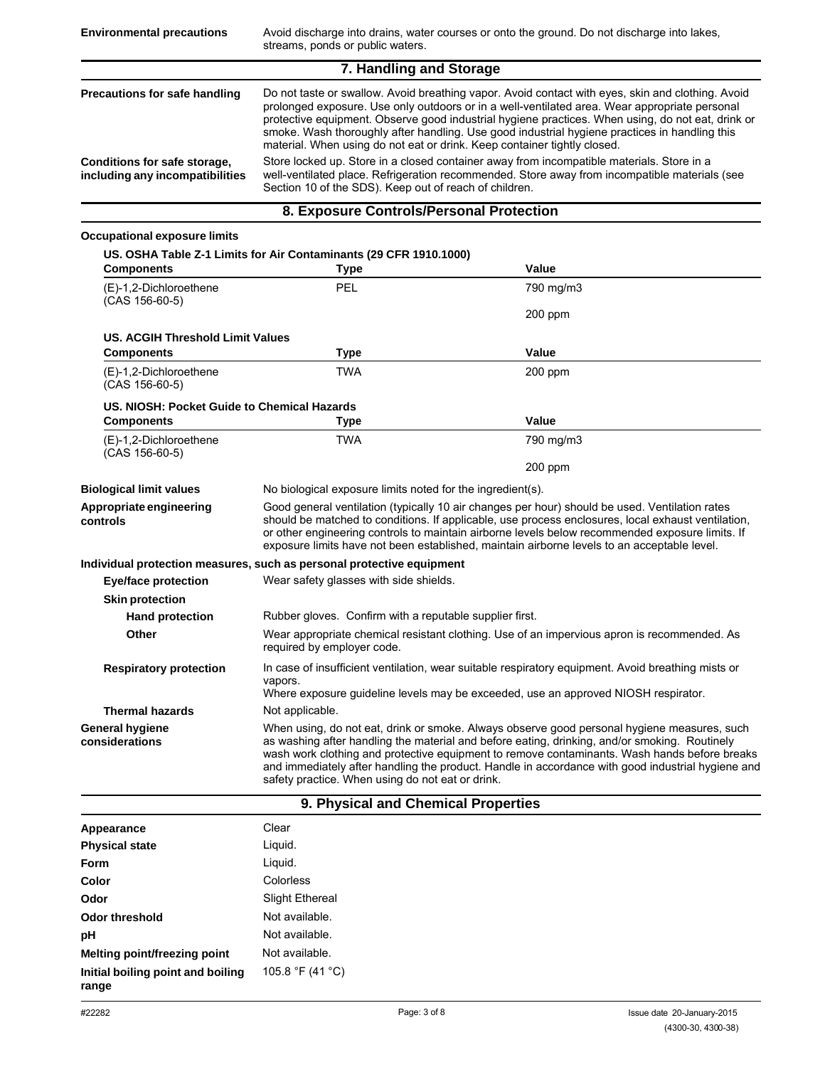| 7. Handling and Storage                                         |                                                                                                                                                                                                                                                                                                                                                                                                                                                                                      |  |  |
|-----------------------------------------------------------------|--------------------------------------------------------------------------------------------------------------------------------------------------------------------------------------------------------------------------------------------------------------------------------------------------------------------------------------------------------------------------------------------------------------------------------------------------------------------------------------|--|--|
| Precautions for safe handling                                   | Do not taste or swallow. Avoid breathing vapor. Avoid contact with eyes, skin and clothing. Avoid<br>prolonged exposure. Use only outdoors or in a well-ventilated area. Wear appropriate personal<br>protective equipment. Observe good industrial hygiene practices. When using, do not eat, drink or<br>smoke. Wash thoroughly after handling. Use good industrial hygiene practices in handling this<br>material. When using do not eat or drink. Keep container tightly closed. |  |  |
| Conditions for safe storage,<br>including any incompatibilities | Store locked up. Store in a closed container away from incompatible materials. Store in a<br>well-ventilated place. Refrigeration recommended. Store away from incompatible materials (see<br>Section 10 of the SDS). Keep out of reach of children.                                                                                                                                                                                                                                 |  |  |

## **8. Exposure Controls/Personal Protection**

## **Occupational exposure limits**

| <b>Components</b>                           | <b>Type</b>                                                           | Value                                                                                                                                                                                                                                                                                                                                                                                                  |
|---------------------------------------------|-----------------------------------------------------------------------|--------------------------------------------------------------------------------------------------------------------------------------------------------------------------------------------------------------------------------------------------------------------------------------------------------------------------------------------------------------------------------------------------------|
| (E)-1,2-Dichloroethene<br>$(CAS 156-60-5)$  | PEL                                                                   | 790 mg/m3                                                                                                                                                                                                                                                                                                                                                                                              |
|                                             |                                                                       | 200 ppm                                                                                                                                                                                                                                                                                                                                                                                                |
| <b>US. ACGIH Threshold Limit Values</b>     |                                                                       |                                                                                                                                                                                                                                                                                                                                                                                                        |
| <b>Components</b>                           | <b>Type</b>                                                           | Value                                                                                                                                                                                                                                                                                                                                                                                                  |
| (E)-1,2-Dichloroethene<br>$(CAS 156-60-5)$  | <b>TWA</b>                                                            | $200$ ppm                                                                                                                                                                                                                                                                                                                                                                                              |
| US. NIOSH: Pocket Guide to Chemical Hazards |                                                                       |                                                                                                                                                                                                                                                                                                                                                                                                        |
| <b>Components</b>                           | Type                                                                  | Value                                                                                                                                                                                                                                                                                                                                                                                                  |
| (E)-1,2-Dichloroethene<br>$(CAS 156-60-5)$  | <b>TWA</b>                                                            | 790 mg/m3                                                                                                                                                                                                                                                                                                                                                                                              |
|                                             |                                                                       | $200$ ppm                                                                                                                                                                                                                                                                                                                                                                                              |
| <b>Biological limit values</b>              | No biological exposure limits noted for the ingredient(s).            |                                                                                                                                                                                                                                                                                                                                                                                                        |
| Appropriate engineering<br>controls         |                                                                       | Good general ventilation (typically 10 air changes per hour) should be used. Ventilation rates<br>should be matched to conditions. If applicable, use process enclosures, local exhaust ventilation,<br>or other engineering controls to maintain airborne levels below recommended exposure limits. If<br>exposure limits have not been established, maintain airborne levels to an acceptable level. |
|                                             | Individual protection measures, such as personal protective equipment |                                                                                                                                                                                                                                                                                                                                                                                                        |
| Eye/face protection                         | Wear safety glasses with side shields.                                |                                                                                                                                                                                                                                                                                                                                                                                                        |
| <b>Skin protection</b>                      |                                                                       |                                                                                                                                                                                                                                                                                                                                                                                                        |
| <b>Hand protection</b>                      | Rubber gloves. Confirm with a reputable supplier first.               |                                                                                                                                                                                                                                                                                                                                                                                                        |
| Other                                       | required by employer code.                                            | Wear appropriate chemical resistant clothing. Use of an impervious apron is recommended. As                                                                                                                                                                                                                                                                                                            |
| <b>Respiratory protection</b>               | vapors.                                                               | In case of insufficient ventilation, wear suitable respiratory equipment. Avoid breathing mists or<br>Where exposure guideline levels may be exceeded, use an approved NIOSH respirator.                                                                                                                                                                                                               |
| <b>Thermal hazards</b>                      | Not applicable.                                                       |                                                                                                                                                                                                                                                                                                                                                                                                        |
| <b>General hygiene</b><br>considerations    | safety practice. When using do not eat or drink.                      | When using, do not eat, drink or smoke. Always observe good personal hygiene measures, such<br>as washing after handling the material and before eating, drinking, and/or smoking. Routinely<br>wash work clothing and protective equipment to remove contaminants. Wash hands before breaks<br>and immediately after handling the product. Handle in accordance with good industrial hygiene and      |

## **9. Physical and Chemical Properties**

| Appearance                                 | Clear                  |
|--------------------------------------------|------------------------|
| <b>Physical state</b>                      | Liquid.                |
| Form                                       | Liguid.                |
| Color                                      | Colorless              |
| Odor                                       | <b>Slight Ethereal</b> |
| <b>Odor threshold</b>                      | Not available.         |
| pH                                         | Not available.         |
| Melting point/freezing point               | Not available.         |
| Initial boiling point and boiling<br>range | 105.8 °F (41 °C)       |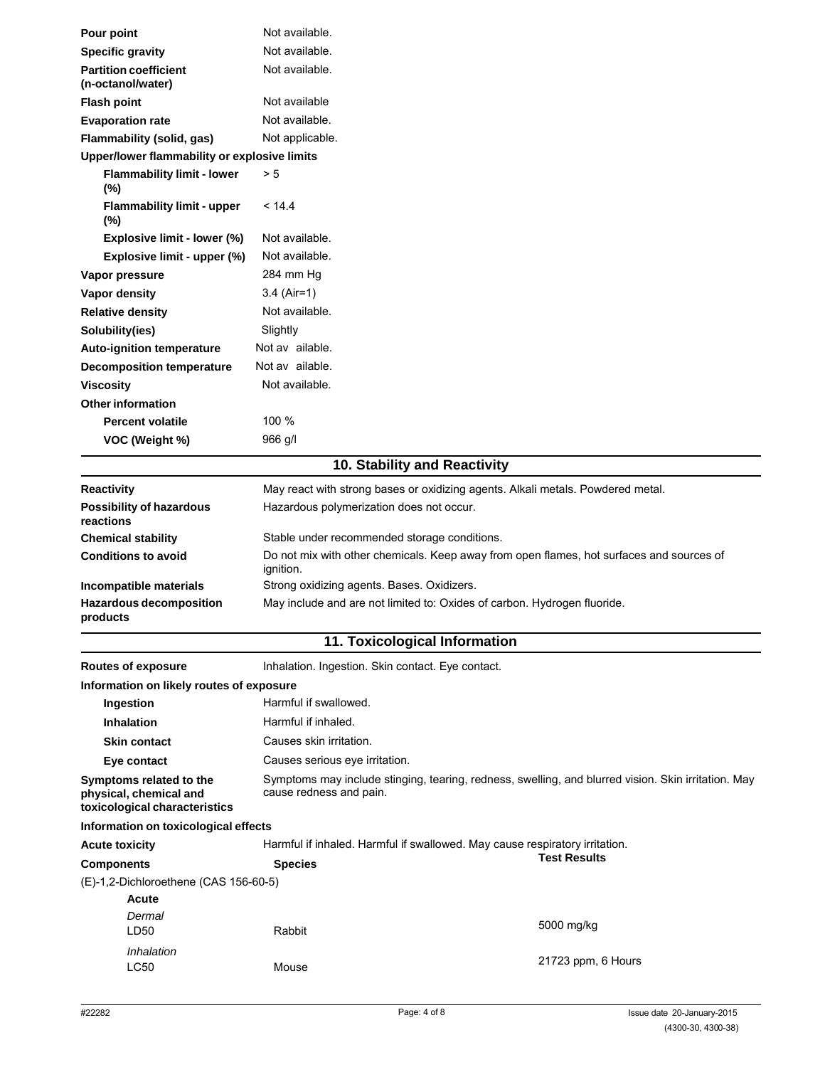| Pour point                                        | Not available.                                                                                        |
|---------------------------------------------------|-------------------------------------------------------------------------------------------------------|
| <b>Specific gravity</b>                           | Not available.                                                                                        |
| <b>Partition coefficient</b><br>(n-octanol/water) | Not available.                                                                                        |
| <b>Flash point</b>                                | Not available                                                                                         |
| <b>Evaporation rate</b>                           | Not available.                                                                                        |
| Flammability (solid, gas)                         | Not applicable.                                                                                       |
| Upper/lower flammability or explosive limits      |                                                                                                       |
| <b>Flammability limit - lower</b><br>$(\%)$       | > 5                                                                                                   |
| <b>Flammability limit - upper</b><br>(%)          | < 14.4                                                                                                |
| Explosive limit - lower (%)                       | Not available.                                                                                        |
| Explosive limit - upper (%)                       | Not available.                                                                                        |
| Vapor pressure                                    | 284 mm Hg                                                                                             |
| Vapor density                                     | $3.4$ (Air=1)                                                                                         |
| <b>Relative density</b>                           | Not available.                                                                                        |
| Solubility(ies)                                   | Slightly                                                                                              |
| <b>Auto-ignition temperature</b>                  | Not av ailable.                                                                                       |
| <b>Decomposition temperature</b>                  | Not av ailable.                                                                                       |
| <b>Viscosity</b>                                  | Not available.                                                                                        |
| <b>Other information</b>                          |                                                                                                       |
| <b>Percent volatile</b>                           | 100 %                                                                                                 |
| VOC (Weight %)                                    | 966 g/l                                                                                               |
|                                                   | 10. Stability and Reactivity                                                                          |
| <b>Reactivity</b>                                 | May react with strong bases or oxidizing agents. Alkali metals. Powdered metal.                       |
| <b>Possibility of hazardous</b><br>reactions      | Hazardous polymerization does not occur.                                                              |
| <b>Chemical stability</b>                         | Stable under recommended storage conditions.                                                          |
| <b>Conditions to avoid</b>                        | Do not mix with other chemicals. Keep away from open flames, hot surfaces and sources of<br>ignition. |
| Incompatible materials                            | Strong oxidizing agents. Bases. Oxidizers.                                                            |
| <b>Hazardous decomposition</b><br>products        | May include and are not limited to: Oxides of carbon. Hydrogen fluoride.                              |
|                                                   | 11. Toxicological Information                                                                         |
| <b>Routes of exposure</b>                         | Inhalation. Ingestion. Skin contact. Eye contact.                                                     |

| 1.941999197899619                                                                  |                                                                                                                                |                     |
|------------------------------------------------------------------------------------|--------------------------------------------------------------------------------------------------------------------------------|---------------------|
| Information on likely routes of exposure                                           |                                                                                                                                |                     |
| Ingestion                                                                          | Harmful if swallowed.                                                                                                          |                     |
| <b>Inhalation</b>                                                                  | Harmful if inhaled.                                                                                                            |                     |
| <b>Skin contact</b>                                                                | Causes skin irritation.                                                                                                        |                     |
| Eye contact                                                                        | Causes serious eye irritation.                                                                                                 |                     |
| Symptoms related to the<br>physical, chemical and<br>toxicological characteristics | Symptoms may include stinging, tearing, redness, swelling, and blurred vision. Skin irritation. May<br>cause redness and pain. |                     |
| Information on toxicological effects                                               |                                                                                                                                |                     |
| <b>Acute toxicity</b>                                                              | Harmful if inhaled. Harmful if swallowed. May cause respiratory irritation.                                                    |                     |
| <b>Components</b>                                                                  | <b>Species</b>                                                                                                                 | <b>Test Results</b> |
| (E)-1,2-Dichloroethene (CAS 156-60-5)                                              |                                                                                                                                |                     |
| Acute<br>Dermal<br>LD50                                                            | Rabbit                                                                                                                         | 5000 mg/kg          |
| Inhalation<br>LC50                                                                 | Mouse                                                                                                                          | 21723 ppm, 6 Hours  |
|                                                                                    |                                                                                                                                |                     |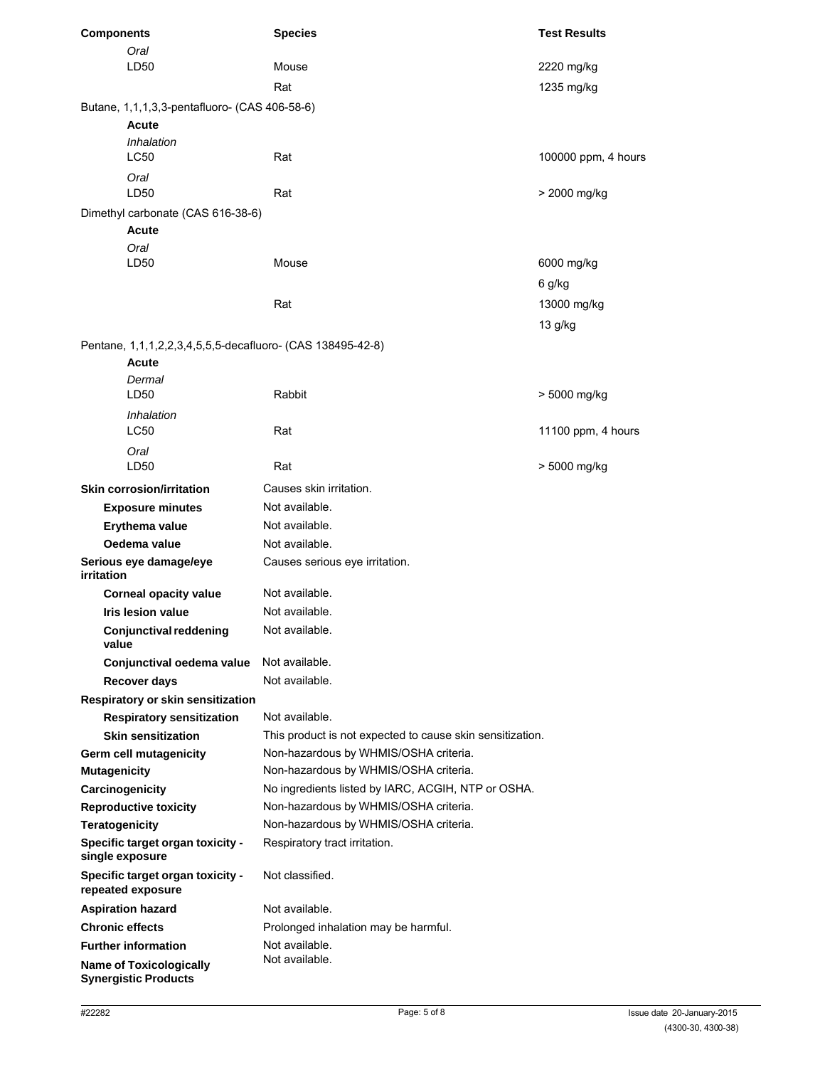| <b>Components</b>                                             | <b>Species</b>                                            | <b>Test Results</b> |
|---------------------------------------------------------------|-----------------------------------------------------------|---------------------|
| Oral                                                          |                                                           |                     |
| LD50                                                          | Mouse                                                     | 2220 mg/kg          |
|                                                               | Rat                                                       | 1235 mg/kg          |
| Butane, 1,1,1,3,3-pentafluoro- (CAS 406-58-6)                 |                                                           |                     |
| Acute                                                         |                                                           |                     |
| Inhalation                                                    |                                                           |                     |
| LC50                                                          | Rat                                                       | 100000 ppm, 4 hours |
| Oral                                                          |                                                           |                     |
| LD <sub>50</sub>                                              | Rat                                                       | > 2000 mg/kg        |
| Dimethyl carbonate (CAS 616-38-6)                             |                                                           |                     |
| Acute                                                         |                                                           |                     |
| Oral<br>LD50                                                  | Mouse                                                     | 6000 mg/kg          |
|                                                               |                                                           |                     |
|                                                               |                                                           | 6 g/kg              |
|                                                               | Rat                                                       | 13000 mg/kg         |
|                                                               |                                                           | 13 g/kg             |
| Pentane, 1,1,1,2,2,3,4,5,5,5-decafluoro- (CAS 138495-42-8)    |                                                           |                     |
| Acute                                                         |                                                           |                     |
| Dermal                                                        | Rabbit                                                    |                     |
| LD50                                                          |                                                           | > 5000 mg/kg        |
| Inhalation<br>LC50                                            | Rat                                                       | 11100 ppm, 4 hours  |
|                                                               |                                                           |                     |
| Oral<br>LD <sub>50</sub>                                      | Rat                                                       | > 5000 mg/kg        |
|                                                               |                                                           |                     |
| <b>Skin corrosion/irritation</b>                              | Causes skin irritation.                                   |                     |
| <b>Exposure minutes</b>                                       | Not available.                                            |                     |
| Erythema value                                                | Not available.                                            |                     |
| Oedema value                                                  | Not available.                                            |                     |
| Serious eye damage/eye<br>irritation                          | Causes serious eye irritation.                            |                     |
| <b>Corneal opacity value</b>                                  | Not available.                                            |                     |
| Iris lesion value                                             | Not available.                                            |                     |
| <b>Conjunctival reddening</b><br>value                        | Not available.                                            |                     |
| Conjunctival oedema value                                     | Not available.                                            |                     |
| Recover days                                                  | Not available.                                            |                     |
| Respiratory or skin sensitization                             |                                                           |                     |
| <b>Respiratory sensitization</b>                              | Not available.                                            |                     |
| <b>Skin sensitization</b>                                     | This product is not expected to cause skin sensitization. |                     |
| Germ cell mutagenicity                                        | Non-hazardous by WHMIS/OSHA criteria.                     |                     |
| <b>Mutagenicity</b>                                           | Non-hazardous by WHMIS/OSHA criteria.                     |                     |
| Carcinogenicity                                               | No ingredients listed by IARC, ACGIH, NTP or OSHA.        |                     |
| <b>Reproductive toxicity</b>                                  | Non-hazardous by WHMIS/OSHA criteria.                     |                     |
| <b>Teratogenicity</b>                                         | Non-hazardous by WHMIS/OSHA criteria.                     |                     |
| Specific target organ toxicity -<br>single exposure           | Respiratory tract irritation.                             |                     |
| Specific target organ toxicity -<br>repeated exposure         | Not classified.                                           |                     |
| <b>Aspiration hazard</b>                                      | Not available.                                            |                     |
| <b>Chronic effects</b>                                        | Prolonged inhalation may be harmful.                      |                     |
| <b>Further information</b>                                    | Not available.                                            |                     |
| <b>Name of Toxicologically</b><br><b>Synergistic Products</b> | Not available.                                            |                     |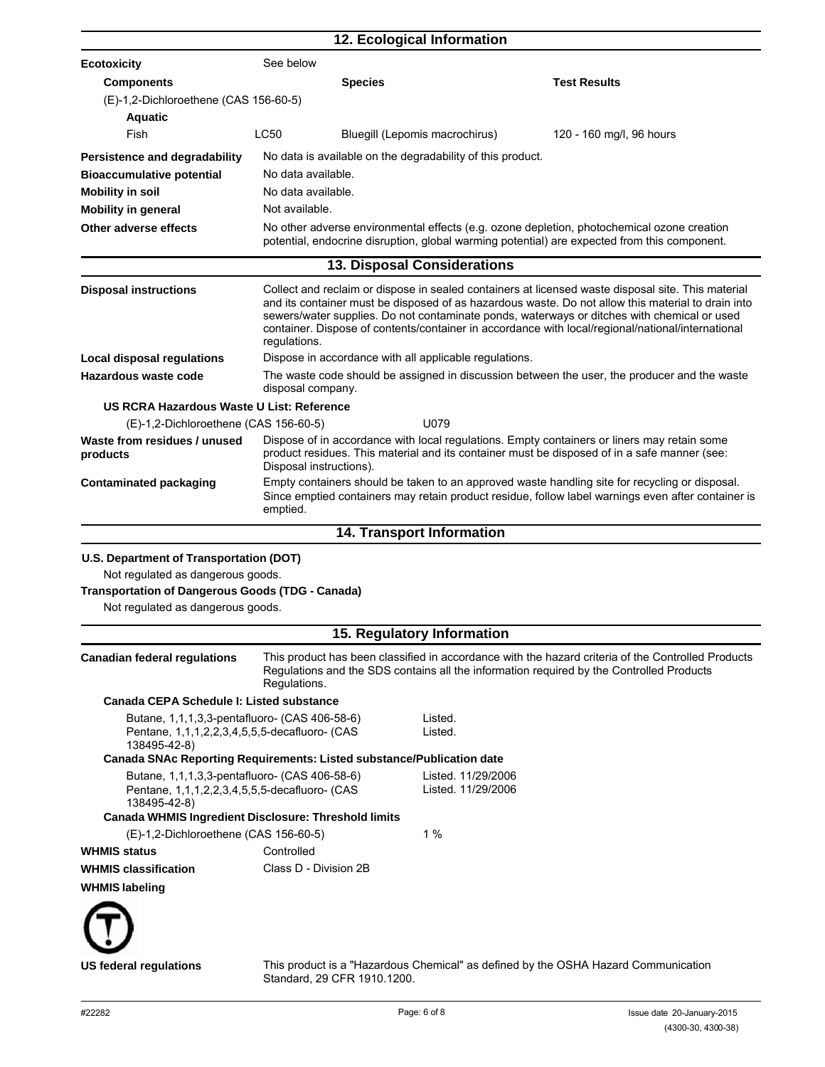|                                                                                                                                                                                         |                    |                         | 12. Ecological Information                                 |                                                                                                                                                                                                                                                                                                                                                                                                              |
|-----------------------------------------------------------------------------------------------------------------------------------------------------------------------------------------|--------------------|-------------------------|------------------------------------------------------------|--------------------------------------------------------------------------------------------------------------------------------------------------------------------------------------------------------------------------------------------------------------------------------------------------------------------------------------------------------------------------------------------------------------|
| <b>Ecotoxicity</b>                                                                                                                                                                      | See below          |                         |                                                            |                                                                                                                                                                                                                                                                                                                                                                                                              |
| <b>Components</b>                                                                                                                                                                       |                    | <b>Species</b>          |                                                            | <b>Test Results</b>                                                                                                                                                                                                                                                                                                                                                                                          |
| (E)-1,2-Dichloroethene (CAS 156-60-5)                                                                                                                                                   |                    |                         |                                                            |                                                                                                                                                                                                                                                                                                                                                                                                              |
| <b>Aquatic</b>                                                                                                                                                                          |                    |                         |                                                            |                                                                                                                                                                                                                                                                                                                                                                                                              |
| Fish                                                                                                                                                                                    | <b>LC50</b>        |                         | Bluegill (Lepomis macrochirus)                             | 120 - 160 mg/l, 96 hours                                                                                                                                                                                                                                                                                                                                                                                     |
| Persistence and degradability                                                                                                                                                           |                    |                         | No data is available on the degradability of this product. |                                                                                                                                                                                                                                                                                                                                                                                                              |
| <b>Bioaccumulative potential</b>                                                                                                                                                        | No data available. |                         |                                                            |                                                                                                                                                                                                                                                                                                                                                                                                              |
| <b>Mobility in soil</b>                                                                                                                                                                 | No data available. |                         |                                                            |                                                                                                                                                                                                                                                                                                                                                                                                              |
| <b>Mobility in general</b>                                                                                                                                                              | Not available.     |                         |                                                            |                                                                                                                                                                                                                                                                                                                                                                                                              |
| Other adverse effects                                                                                                                                                                   |                    |                         |                                                            | No other adverse environmental effects (e.g. ozone depletion, photochemical ozone creation<br>potential, endocrine disruption, global warming potential) are expected from this component.                                                                                                                                                                                                                   |
|                                                                                                                                                                                         |                    |                         | 13. Disposal Considerations                                |                                                                                                                                                                                                                                                                                                                                                                                                              |
| <b>Disposal instructions</b>                                                                                                                                                            | regulations.       |                         |                                                            | Collect and reclaim or dispose in sealed containers at licensed waste disposal site. This material<br>and its container must be disposed of as hazardous waste. Do not allow this material to drain into<br>sewers/water supplies. Do not contaminate ponds, waterways or ditches with chemical or used<br>container. Dispose of contents/container in accordance with local/regional/national/international |
| <b>Local disposal regulations</b>                                                                                                                                                       |                    |                         | Dispose in accordance with all applicable regulations.     |                                                                                                                                                                                                                                                                                                                                                                                                              |
| Hazardous waste code                                                                                                                                                                    | disposal company.  |                         |                                                            | The waste code should be assigned in discussion between the user, the producer and the waste                                                                                                                                                                                                                                                                                                                 |
| US RCRA Hazardous Waste U List: Reference                                                                                                                                               |                    |                         |                                                            |                                                                                                                                                                                                                                                                                                                                                                                                              |
| (E)-1,2-Dichloroethene (CAS 156-60-5)                                                                                                                                                   |                    |                         | U079                                                       |                                                                                                                                                                                                                                                                                                                                                                                                              |
| Waste from residues / unused<br>products                                                                                                                                                |                    | Disposal instructions). |                                                            | Dispose of in accordance with local regulations. Empty containers or liners may retain some<br>product residues. This material and its container must be disposed of in a safe manner (see:                                                                                                                                                                                                                  |
| <b>Contaminated packaging</b>                                                                                                                                                           | emptied.           |                         |                                                            | Empty containers should be taken to an approved waste handling site for recycling or disposal.<br>Since emptied containers may retain product residue, follow label warnings even after container is                                                                                                                                                                                                         |
|                                                                                                                                                                                         |                    |                         | 14. Transport Information                                  |                                                                                                                                                                                                                                                                                                                                                                                                              |
| U.S. Department of Transportation (DOT)<br>Not regulated as dangerous goods.<br><b>Transportation of Dangerous Goods (TDG - Canada)</b><br>Not regulated as dangerous goods.            |                    |                         |                                                            |                                                                                                                                                                                                                                                                                                                                                                                                              |
|                                                                                                                                                                                         |                    |                         | 15. Regulatory Information                                 |                                                                                                                                                                                                                                                                                                                                                                                                              |
| <b>Canadian federal requlations</b>                                                                                                                                                     | Requlations.       |                         |                                                            | This product has been classified in accordance with the hazard criteria of the Controlled Products<br>Regulations and the SDS contains all the information required by the Controlled Products                                                                                                                                                                                                               |
| Canada CEPA Schedule I: Listed substance                                                                                                                                                |                    |                         |                                                            |                                                                                                                                                                                                                                                                                                                                                                                                              |
| Butane, 1,1,1,3,3-pentafluoro- (CAS 406-58-6)<br>Pentane, 1,1,1,2,2,3,4,5,5,5-decafluoro- (CAS<br>138495-42-8)<br>Canada SNAc Reporting Requirements: Listed substance/Publication date |                    |                         | Listed.<br>Listed.                                         |                                                                                                                                                                                                                                                                                                                                                                                                              |
| Butane, 1,1,1,3,3-pentafluoro- (CAS 406-58-6)<br>Pentane, 1,1,1,2,2,3,4,5,5,5-decafluoro- (CAS<br>138495-42-8)<br><b>Canada WHMIS Ingredient Disclosure: Threshold limits</b>           |                    |                         | Listed. 11/29/2006<br>Listed. 11/29/2006                   |                                                                                                                                                                                                                                                                                                                                                                                                              |
| (E)-1,2-Dichloroethene (CAS 156-60-5)                                                                                                                                                   |                    |                         | 1%                                                         |                                                                                                                                                                                                                                                                                                                                                                                                              |
| <b>WHMIS status</b>                                                                                                                                                                     | Controlled         |                         |                                                            |                                                                                                                                                                                                                                                                                                                                                                                                              |
| <b>WHMIS classification</b>                                                                                                                                                             |                    | Class D - Division 2B   |                                                            |                                                                                                                                                                                                                                                                                                                                                                                                              |
| <b>WHMIS labeling</b>                                                                                                                                                                   |                    |                         |                                                            |                                                                                                                                                                                                                                                                                                                                                                                                              |
| <b>US federal regulations</b>                                                                                                                                                           |                    |                         |                                                            | This product is a "Hazardous Chemical" as defined by the OSHA Hazard Communication                                                                                                                                                                                                                                                                                                                           |

Standard, 29 CFR 1910.1200.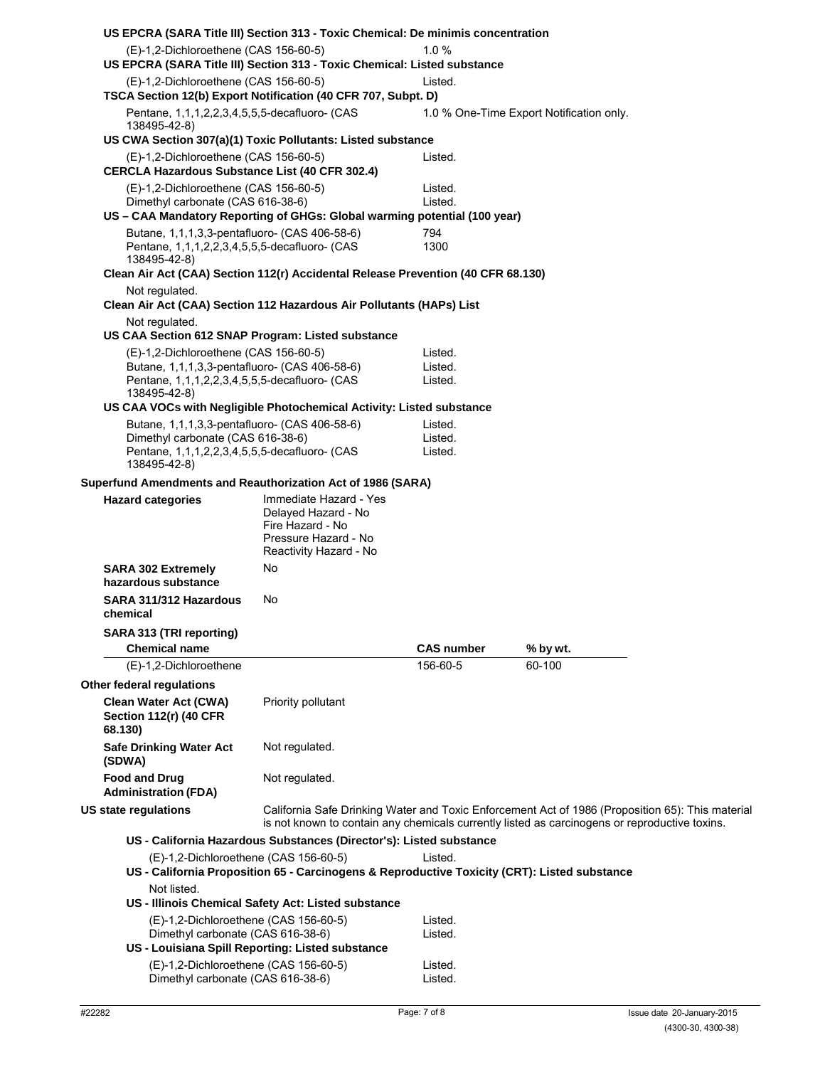| US EPCRA (SARA Title III) Section 313 - Toxic Chemical: De minimis concentration                                           |                                                                                              |                    |                                                                                                                                                                                                   |  |
|----------------------------------------------------------------------------------------------------------------------------|----------------------------------------------------------------------------------------------|--------------------|---------------------------------------------------------------------------------------------------------------------------------------------------------------------------------------------------|--|
| (E)-1,2-Dichloroethene (CAS 156-60-5)<br>US EPCRA (SARA Title III) Section 313 - Toxic Chemical: Listed substance          |                                                                                              | 1.0%               |                                                                                                                                                                                                   |  |
| (E)-1,2-Dichloroethene (CAS 156-60-5)<br>TSCA Section 12(b) Export Notification (40 CFR 707, Subpt. D)                     |                                                                                              | Listed.            |                                                                                                                                                                                                   |  |
| Pentane, 1,1,1,2,2,3,4,5,5,5-decafluoro- (CAS<br>138495-42-8)                                                              |                                                                                              |                    | 1.0 % One-Time Export Notification only.                                                                                                                                                          |  |
| US CWA Section 307(a)(1) Toxic Pollutants: Listed substance                                                                |                                                                                              |                    |                                                                                                                                                                                                   |  |
| (E)-1,2-Dichloroethene (CAS 156-60-5)<br><b>CERCLA Hazardous Substance List (40 CFR 302.4)</b>                             |                                                                                              | Listed.            |                                                                                                                                                                                                   |  |
| (E)-1,2-Dichloroethene (CAS 156-60-5)                                                                                      |                                                                                              | Listed.            |                                                                                                                                                                                                   |  |
| Dimethyl carbonate (CAS 616-38-6)                                                                                          |                                                                                              | Listed.            |                                                                                                                                                                                                   |  |
| US - CAA Mandatory Reporting of GHGs: Global warming potential (100 year)<br>Butane, 1,1,1,3,3-pentafluoro- (CAS 406-58-6) |                                                                                              | 794                |                                                                                                                                                                                                   |  |
| Pentane, 1,1,1,2,2,3,4,5,5,5-decafluoro- (CAS<br>138495-42-8)                                                              |                                                                                              | 1300               |                                                                                                                                                                                                   |  |
| Clean Air Act (CAA) Section 112(r) Accidental Release Prevention (40 CFR 68.130)                                           |                                                                                              |                    |                                                                                                                                                                                                   |  |
| Not regulated.<br>Clean Air Act (CAA) Section 112 Hazardous Air Pollutants (HAPs) List                                     |                                                                                              |                    |                                                                                                                                                                                                   |  |
| Not regulated.                                                                                                             |                                                                                              |                    |                                                                                                                                                                                                   |  |
| US CAA Section 612 SNAP Program: Listed substance                                                                          |                                                                                              |                    |                                                                                                                                                                                                   |  |
| (E)-1,2-Dichloroethene (CAS 156-60-5)<br>Butane, 1,1,1,3,3-pentafluoro- (CAS 406-58-6)                                     |                                                                                              | Listed.<br>Listed. |                                                                                                                                                                                                   |  |
| Pentane, 1,1,1,2,2,3,4,5,5,5-decafluoro- (CAS                                                                              |                                                                                              | Listed.            |                                                                                                                                                                                                   |  |
| 138495-42-8)                                                                                                               |                                                                                              |                    |                                                                                                                                                                                                   |  |
| US CAA VOCs with Negligible Photochemical Activity: Listed substance                                                       |                                                                                              |                    |                                                                                                                                                                                                   |  |
| Butane, 1,1,1,3,3-pentafluoro- (CAS 406-58-6)<br>Dimethyl carbonate (CAS 616-38-6)                                         |                                                                                              | Listed.<br>Listed. |                                                                                                                                                                                                   |  |
| Pentane, 1,1,1,2,2,3,4,5,5,5-decafluoro- (CAS<br>138495-42-8)                                                              |                                                                                              | Listed.            |                                                                                                                                                                                                   |  |
| Superfund Amendments and Reauthorization Act of 1986 (SARA)                                                                |                                                                                              |                    |                                                                                                                                                                                                   |  |
| <b>Hazard categories</b>                                                                                                   | Immediate Hazard - Yes<br>Delayed Hazard - No<br>Fire Hazard - No<br>Pressure Hazard - No    |                    |                                                                                                                                                                                                   |  |
| <b>SARA 302 Extremely</b><br>hazardous substance                                                                           | Reactivity Hazard - No<br>No                                                                 |                    |                                                                                                                                                                                                   |  |
| SARA 311/312 Hazardous<br>chemical                                                                                         | No                                                                                           |                    |                                                                                                                                                                                                   |  |
| SARA 313 (TRI reporting)<br><b>Chemical name</b>                                                                           |                                                                                              | <b>CAS number</b>  | % by wt.                                                                                                                                                                                          |  |
| (E)-1,2-Dichloroethene                                                                                                     |                                                                                              | 156-60-5           | 60-100                                                                                                                                                                                            |  |
| Other federal regulations                                                                                                  |                                                                                              |                    |                                                                                                                                                                                                   |  |
| <b>Clean Water Act (CWA)</b><br><b>Section 112(r) (40 CFR)</b><br>68.130)                                                  | Priority pollutant                                                                           |                    |                                                                                                                                                                                                   |  |
| <b>Safe Drinking Water Act</b><br>(SDWA)                                                                                   | Not regulated.                                                                               |                    |                                                                                                                                                                                                   |  |
| <b>Food and Drug</b><br><b>Administration (FDA)</b>                                                                        | Not regulated.                                                                               |                    |                                                                                                                                                                                                   |  |
| US state regulations                                                                                                       |                                                                                              |                    | California Safe Drinking Water and Toxic Enforcement Act of 1986 (Proposition 65): This material<br>is not known to contain any chemicals currently listed as carcinogens or reproductive toxins. |  |
|                                                                                                                            | US - California Hazardous Substances (Director's): Listed substance                          |                    |                                                                                                                                                                                                   |  |
| (E)-1,2-Dichloroethene (CAS 156-60-5)                                                                                      | US - California Proposition 65 - Carcinogens & Reproductive Toxicity (CRT): Listed substance | Listed.            |                                                                                                                                                                                                   |  |
| Not listed.                                                                                                                | US - Illinois Chemical Safety Act: Listed substance                                          |                    |                                                                                                                                                                                                   |  |
| (E)-1,2-Dichloroethene (CAS 156-60-5)<br>Dimethyl carbonate (CAS 616-38-6)                                                 | US - Louisiana Spill Reporting: Listed substance                                             | Listed.<br>Listed. |                                                                                                                                                                                                   |  |
| (E)-1,2-Dichloroethene (CAS 156-60-5)<br>Dimethyl carbonate (CAS 616-38-6)                                                 |                                                                                              | Listed.<br>Listed. |                                                                                                                                                                                                   |  |